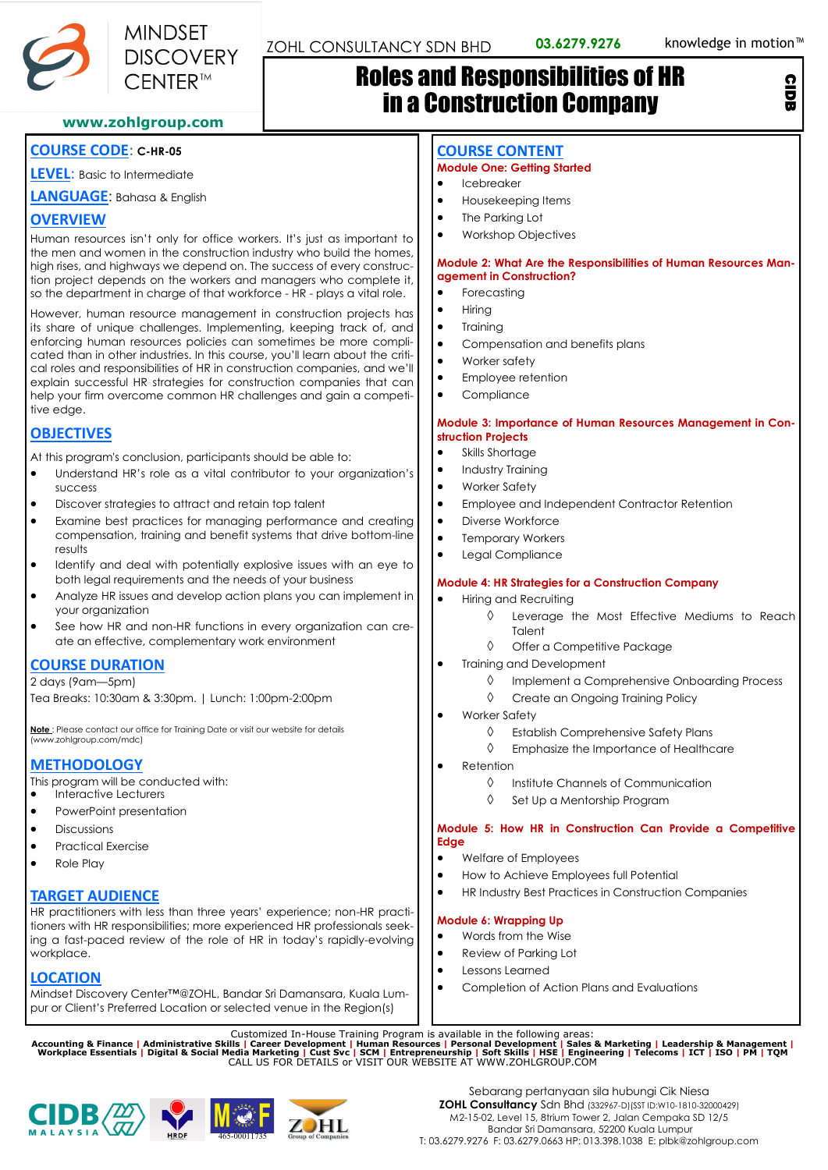CIDB



# Roles and Responsibilities of HR in a Construction Company

**www.zohlgroup.com**

# **COURSE CODE**: **C-HR-05**

**LEVEL**: Basic to Intermediate

**LANGUAGE**: Bahasa & English

# **OVERVIEW**

Human resources isn't only for office workers. It's just as important to the men and women in the construction industry who build the homes, high rises, and highways we depend on. The success of every construction project depends on the workers and managers who complete it, so the department in charge of that workforce - HR - plays a vital role.

However, human resource management in construction projects has its share of unique challenges. Implementing, keeping track of, and enforcing human resources policies can sometimes be more complicated than in other industries. In this course, you'll learn about the critical roles and responsibilities of HR in construction companies, and we'll explain successful HR strategies for construction companies that can help your firm overcome common HR challenges and gain a competitive edge.

# **OBJECTIVES**

At this program's conclusion, participants should be able to:

- Understand HR's role as a vital contributor to your organization's success
- Discover strategies to attract and retain top talent
- Examine best practices for managing performance and creating compensation, training and benefit systems that drive bottom-line results
- Identify and deal with potentially explosive issues with an eye to both legal requirements and the needs of your business
- Analyze HR issues and develop action plans you can implement in your organization
- See how HR and non-HR functions in every organization can create an effective, complementary work environment

# **COURSE DURATION**

2 days (9am—5pm) Tea Breaks: 10:30am & 3:30pm. | Lunch: 1:00pm-2:00pm

**Note** : Please contact our office for Training Date or visit our website for details (www.zohlgroup.com/mdc)

# **METHODOLOGY**

This program will be conducted with:

- Interactive Lecturers
- PowerPoint presentation
- Discussions
- Practical Exercise
- Role Play

# **TARGET AUDIENCE**

HR practitioners with less than three years' experience; non-HR practitioners with HR responsibilities; more experienced HR professionals seeking a fast-paced review of the role of HR in today's rapidly-evolving workplace.

### **LOCATION**

Mindset Discovery Center™@ZOHL, Bandar Sri Damansara, Kuala Lumpur or Client's Preferred Location or selected venue in the Region(s)

# **COURSE CONTENT**

### **Module One: Getting Started**

- Housekeeping Items
- The Parking Lot
	-

### **Module 2: What Are the Responsibilities of Human Resources Management in Construction?**

- 
- $Hirin<sub>G</sub>$
- Training
- Compensation and benefits plans
- Worker safety
- Employee retention
- Compliance

### **Module 3: Importance of Human Resources Management in Construction Projects**

- 
- Industry Training
- 
- Employee and Independent Contractor Retention
- Diverse Workforce
- Temporary Workers
- Legal Compliance

### **Module 4: HR Strategies for a Construction Company**

- Hiring and Recruiting
	- Leverage the Most Effective Mediums to Reach Talent
	- $\Diamond$  Offer a Competitive Package
- Training and Development
	- Implement a Comprehensive Onboarding Process
	- ♦ Create an Ongoing Training Policy
- Worker Safety
	- $\Diamond$  Establish Comprehensive Safety Plans
	- $\Diamond$  Emphasize the Importance of Healthcare
- Retention
	- $\Diamond$  Institute Channels of Communication
	- $\Diamond$  Set Up a Mentorship Program

### **Module 5: How HR in Construction Can Provide a Competitive Edge**

- Welfare of Employees
- How to Achieve Employees full Potential
- HR Industry Best Practices in Construction Companies

### **Module 6: Wrapping Up**

- Words from the Wise
- Review of Parking Lot
- Lessons Learned
- Completion of Action Plans and Evaluations

Customized In-House Training Program is available in the following areas:<br>Accounting & Finance | Administrative Skills | Career Development | Human Resources | Personal Development | Sales & Marketing | Leadership & Manage





- Icebreaker
- 
- 
- Workshop Objectives

- **Forecasting**
- 
- 
- 
- 
- 
- 

Skills Shortage

• Worker Safety